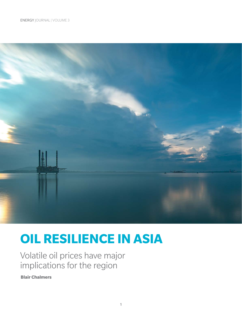

# **OIL RESILIENCE IN ASIA**

Volatile oil prices have major implications for the region

**Blair Chalmers**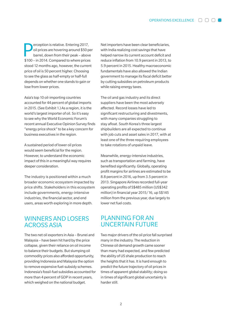erception is relative. Entering 2017, oil prices are hovering around \$50 per barrel, down from their peak – above \$100 – in 2014. Compared to where prices stood 12 months ago, however, the current price of oil is 50 percent higher. Choosing to see the glass as half-empty or half-full depends on whether one stands to gain or lose from lower prices.

Asia's top 10 oil-importing countries accounted for 44 percent of global imports in 2015. (See Exhibit 1.) As a region, it is the world's largest importer of oil. So it's easy to see why the World Economic Forum's recent annual Executive Opinion Survey finds "energy price shock" to be a key concern for business executives in the region.

A sustained period of lower oil prices would seem beneficial for the region. However, to understand the economic impact of this in a meaningful way requires deeper consideration.

The industry is positioned within a much broader economic ecosystem impacted by price shifts. Stakeholders in this ecosystem include governments, energy-intensive industries, the financial sector, and end users, areas worth exploring in more depth.

## WINNERS AND LOSERS ACROSS ASIA

The two net oil exporters in Asia – Brunei and Malaysia – have been hit hard by the price collapse, given their reliance on oil income to balance their budgets. But slumping oil commodity prices also afforded opportunity, providing Indonesia and Malaysia the option to remove expensive fuel-subsidy schemes. Indonesia's fossil-fuel subsidies accounted for more than 4 percent of GDP in recent years, which weighed on the national budget.

Net importers have been clear beneficiaries, with India realizing cost savings that have helped narrow its current account deficit and reduce inflation from 10.9 percent in 2013, to 5.9 percent in 2015. Healthy macroeconomic fundamentals have also allowed the Indian government to manage its fiscal deficit better by cutting subsidies on petroleum products while raising energy taxes.

The oil and gas industry and its direct suppliers have been the most adversely affected. Record losses have led to significant restructuring and divestments, with many companies struggling to stay afloat. South Korea's three largest shipbuilders are all expected to continue with job cuts and asset sales in 2017, with at least one of the three requiring employees to take rotations of unpaid leave.

Meanwhile, energy-intensive industries, such as transportation and farming, have benefited significantly. Globally, operating profit margins for airlines are estimated to be 8.8 percent in 2016, up from 3.5 percent in 2013. Singapore Airlines recorded full-year operating profits of S\$485 million (US\$342 million) in financial year 2015/16, up S\$145 million from the previous year, due largely to lower net fuel costs.

## PLANNING FOR AN UNCERTAIN FUTURE

Two major drivers of the oil price fall surprised many in the industry. The reduction in Chinese oil demand growth came sooner than many had expected, and few predicted the ability of US shale production to reach the heights that it has. It is hard enough to predict the future trajectory of oil prices in times of apparent global stability; doing so in times of significant global uncertainty is harder still.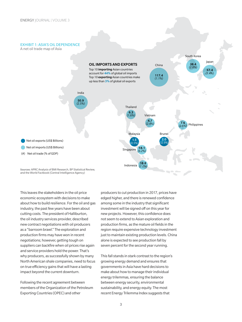#### EXHIBIT 1: ASIA'S OIL DEPENDENCE

A net oil trade map of Asia



This leaves the stakeholders in the oil price economic ecosystem with decisions to make about how to build resilience. For the oil and gas industry, the past few years have been about cutting costs. The president of Halliburton, the oil industry services provider, described new contract negotiations with oil producers as a "barroom brawl." The exploration and production firms may have won in recent negotiations; however, getting tough on suppliers can backfire when oil prices rise again and service providers hold the power. That's why producers, as successfully shown by many North American shale companies, need to focus on true efficiency gains that will have a lasting impact beyond the current downturn.

Following the recent agreement between members of the Organization of the Petroleum Exporting Countries (OPEC) and other

producers to cut production in 2017, prices have edged higher, and there is renewed confidence among some in the industry that significant investment will be signed off on this year for new projects. However, this confidence does not seem to extend to Asian exploration and production firms, as the mature oil fields in the region require expensive technology investment just to maintain existing production levels. China alone is expected to see production fall by seven percent for the second year running.

This fall stands in stark contrast to the region's growing energy demand and ensures that governments in Asia have hard decisions to make about how to manage their individual energy trilemmas, ensuring the balance between energy security, environmental sustainability, and energy equity. The most recent Energy Trilemma Index suggests that